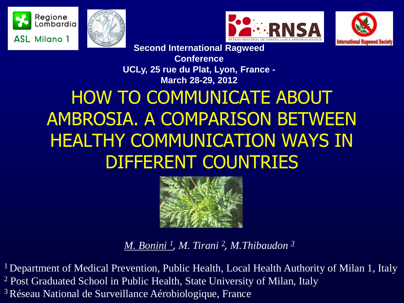







**Second International Ragweed** 

**Conference UCLy, 25 rue du Plat, Lyon, France - March 28-29, 2012**

# HOW TO COMMUNICATE ABOUT AMBROSIA. A COMPARISON BETWEEN HEALTHY COMMUNICATION WAYS IN DIFFERENT COUNTRIES



*M. Bonini <sup>1</sup> , M. Tirani <sup>2</sup> , M.Thibaudon <sup>3</sup>*

<sup>1</sup> Department of Medical Prevention, Public Health, Local Health Authority of Milan 1, Italy <sup>2</sup> Post Graduated School in Public Health, State University of Milan, Italy <sup>3</sup>Réseau National de Surveillance Aérobiologique, France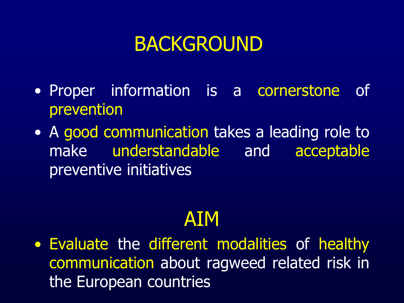# BACKGROUND

- Proper information is a cornerstone of prevention
- A good communication takes a leading role to make understandable and acceptable preventive initiatives

# AIM

• Evaluate the different modalities of healthy communication about ragweed related risk in the European countries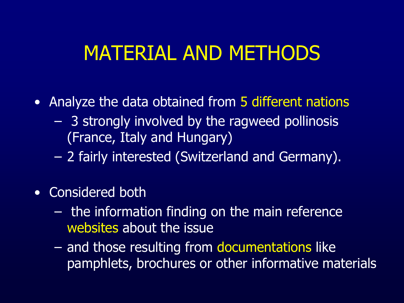### MATERIAL AND METHODS

- Analyze the data obtained from 5 different nations
	- 3 strongly involved by the ragweed pollinosis (France, Italy and Hungary)
	- 2 fairly interested (Switzerland and Germany).
- Considered both
	- the information finding on the main reference websites about the issue
	- and those resulting from documentations like pamphlets, brochures or other informative materials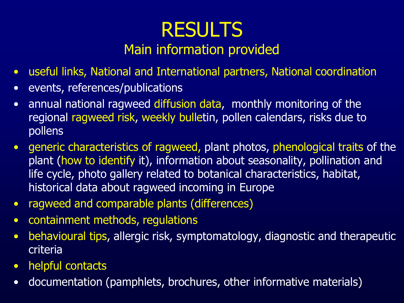#### RESULTS Main information provided

- useful links, National and International partners, National coordination
- events, references/publications
- annual national ragweed diffusion data, monthly monitoring of the regional ragweed risk, weekly bulletin, pollen calendars, risks due to pollens
- generic characteristics of ragweed, plant photos, phenological traits of the plant (how to identify it), information about seasonality, pollination and life cycle, photo gallery related to botanical characteristics, habitat, historical data about ragweed incoming in Europe
- ragweed and comparable plants (differences)
- containment methods, regulations
- behavioural tips, allergic risk, symptomatology, diagnostic and therapeutic criteria
- helpful contacts
- documentation (pamphlets, brochures, other informative materials)